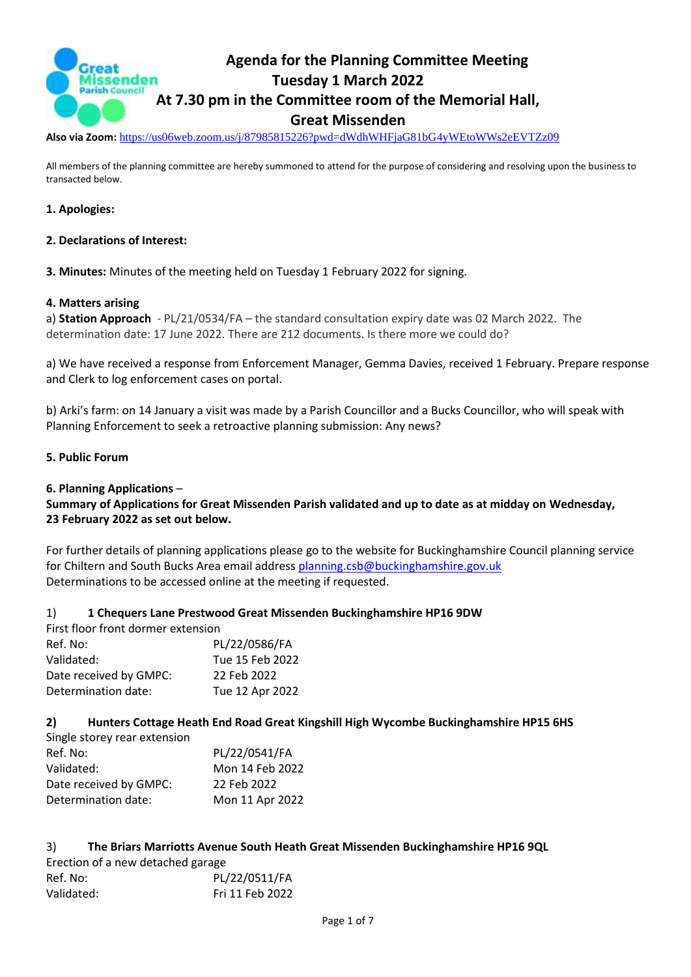

**Also via Zoom:** <https://us06web.zoom.us/j/87985815226?pwd=dWdhWHFjaG81bG4yWEtoWWs2eEVTZz09>

All members of the planning committee are hereby summoned to attend for the purpose of considering and resolving upon the business to transacted below.

### **1. Apologies:**

#### **2. Declarations of Interest:**

**3. Minutes:** Minutes of the meeting held on Tuesday 1 February 2022 for signing.

#### **4. Matters arising**

a) **Station Approach** - PL/21/0534/FA – the standard consultation expiry date was 02 March 2022. The determination date: 17 June 2022. There are 212 documents. Is there more we could do?

a) We have received a response from Enforcement Manager, Gemma Davies, received 1 February. Prepare response and Clerk to log enforcement cases on portal.

b) Arki's farm: on 14 January a visit was made by a Parish Councillor and a Bucks Councillor, who will speak with Planning Enforcement to seek a retroactive planning submission: Any news?

#### **5. Public Forum**

#### **6. Planning Applications** –

### **Summary of Applications for Great Missenden Parish validated and up to date as at midday on Wednesday, 23 February 2022 as set out below.**

For further details of planning applications please go to the website for Buckinghamshire Council planning service for Chiltern and South Bucks Area email address [planning.csb@buckinghamshire.gov.uk](mailto:planning.csb@buckinghamshire.gov.uk) Determinations to be accessed online at the meeting if requested.

#### 1) **1 Chequers Lane Prestwood Great Missenden Buckinghamshire HP16 9DW**

| First floor front dormer extension |                 |
|------------------------------------|-----------------|
| Ref. No:                           | PL/22/0586/FA   |
| Validated:                         | Tue 15 Feb 2022 |
| Date received by GMPC:             | 22 Feb 2022     |
| Determination date:                | Tue 12 Apr 2022 |
|                                    |                 |

#### **2) Hunters Cottage Heath End Road Great Kingshill High Wycombe Buckinghamshire HP15 6HS**

| Single storey rear extension |                 |
|------------------------------|-----------------|
| Ref. No:                     | PL/22/0541/FA   |
| Validated:                   | Mon 14 Feb 2022 |
| Date received by GMPC:       | 22 Feb 2022     |
| Determination date:          | Mon 11 Apr 2022 |

#### 3) **The Briars Marriotts Avenue South Heath Great Missenden Buckinghamshire HP16 9QL**

| Erection of a new detached garage |                 |
|-----------------------------------|-----------------|
| Ref. No:                          | PL/22/0511/FA   |
| Validated:                        | Fri 11 Feb 2022 |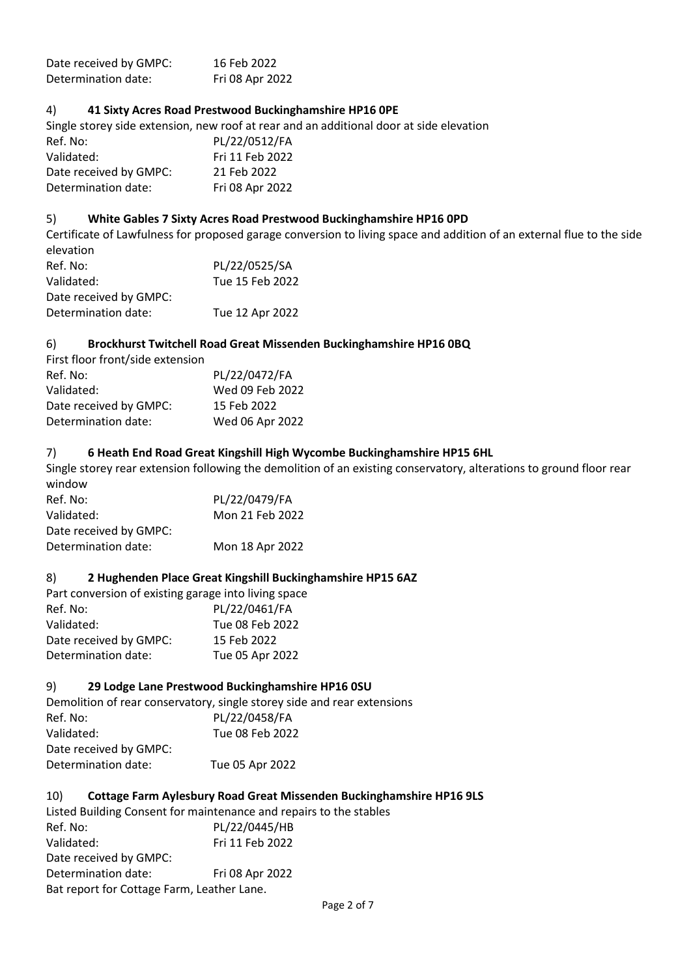| Date received by GMPC: | 16 Feb 2022     |
|------------------------|-----------------|
| Determination date:    | Fri 08 Apr 2022 |

### 4) **41 Sixty Acres Road Prestwood Buckinghamshire HP16 0PE**

Single storey side extension, new roof at rear and an additional door at side elevation

| Ref. No:               | PL/22/0512/FA   |
|------------------------|-----------------|
| Validated:             | Fri 11 Feb 2022 |
| Date received by GMPC: | 21 Feb 2022     |
| Determination date:    | Fri 08 Apr 2022 |

#### 5) **White Gables 7 Sixty Acres Road Prestwood Buckinghamshire HP16 0PD**

Certificate of Lawfulness for proposed garage conversion to living space and addition of an external flue to the side elevation Ref. No: PL/22/0525/SA

| Validated:             | Tue 15 Feb 2022 |
|------------------------|-----------------|
| Date received by GMPC: |                 |
| Determination date:    | Tue 12 Apr 2022 |

### 6) **Brockhurst Twitchell Road Great Missenden Buckinghamshire HP16 0BQ**

| First floor front/side extension |                 |
|----------------------------------|-----------------|
| Ref. No:                         | PL/22/0472/FA   |
| Validated:                       | Wed 09 Feb 2022 |
| Date received by GMPC:           | 15 Feb 2022     |
| Determination date:              | Wed 06 Apr 2022 |

### 7) **6 Heath End Road Great Kingshill High Wycombe Buckinghamshire HP15 6HL**

Single storey rear extension following the demolition of an existing conservatory, alterations to ground floor rear window

| PL/22/0479/FA   |
|-----------------|
| Mon 21 Feb 2022 |
|                 |
| Mon 18 Apr 2022 |
|                 |

#### 8) **2 Hughenden Place Great Kingshill Buckinghamshire HP15 6AZ**

Part conversion of existing garage into living space Ref. No: PL/22/0461/FA Validated: Tue 08 Feb 2022 Date received by GMPC: 15 Feb 2022 Determination date: Tue 05 Apr 2022

#### 9) **29 Lodge Lane Prestwood Buckinghamshire HP16 0SU**

Demolition of rear conservatory, single storey side and rear extensions Ref. No: PL/22/0458/FA Validated: Tue 08 Feb 2022 Date received by GMPC: Determination date: Tue 05 Apr 2022

#### 10) **Cottage Farm Aylesbury Road Great Missenden Buckinghamshire HP16 9LS**

Listed Building Consent for maintenance and repairs to the stables Ref. No: PL/22/0445/HB Validated: Fri 11 Feb 2022 Date received by GMPC: Determination date: Fri 08 Apr 2022 Bat report for Cottage Farm, Leather Lane.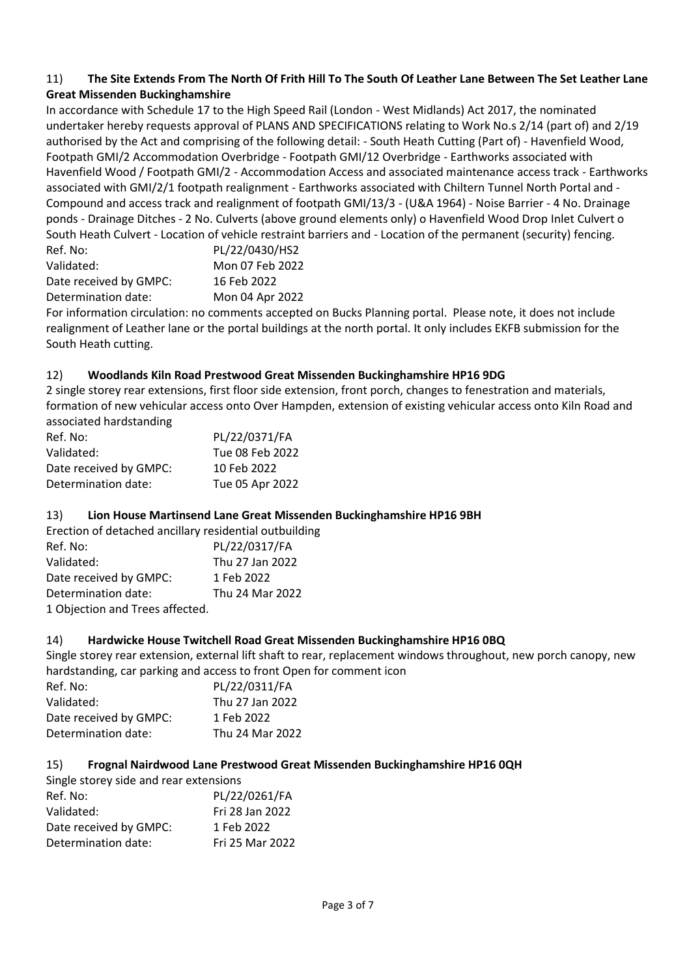### 11) **The Site Extends From The North Of Frith Hill To The South Of Leather Lane Between The Set Leather Lane Great Missenden Buckinghamshire**

In accordance with Schedule 17 to the High Speed Rail (London - West Midlands) Act 2017, the nominated undertaker hereby requests approval of PLANS AND SPECIFICATIONS relating to Work No.s 2/14 (part of) and 2/19 authorised by the Act and comprising of the following detail: - South Heath Cutting (Part of) - Havenfield Wood, Footpath GMI/2 Accommodation Overbridge - Footpath GMI/12 Overbridge - Earthworks associated with Havenfield Wood / Footpath GMI/2 - Accommodation Access and associated maintenance access track - Earthworks associated with GMI/2/1 footpath realignment - Earthworks associated with Chiltern Tunnel North Portal and - Compound and access track and realignment of footpath GMI/13/3 - (U&A 1964) - Noise Barrier - 4 No. Drainage ponds - Drainage Ditches - 2 No. Culverts (above ground elements only) o Havenfield Wood Drop Inlet Culvert o South Heath Culvert - Location of vehicle restraint barriers and - Location of the permanent (security) fencing.<br>Ref. Nat.

| Ref. No:               | PL/22/0430/HS2  |
|------------------------|-----------------|
| Validated:             | Mon 07 Feb 2022 |
| Date received by GMPC: | 16 Feb 2022     |
| Determination date:    | Mon 04 Apr 2022 |

For information circulation: no comments accepted on Bucks Planning portal. Please note, it does not include realignment of Leather lane or the portal buildings at the north portal. It only includes EKFB submission for the South Heath cutting.

### 12) **Woodlands Kiln Road Prestwood Great Missenden Buckinghamshire HP16 9DG**

2 single storey rear extensions, first floor side extension, front porch, changes to fenestration and materials, formation of new vehicular access onto Over Hampden, extension of existing vehicular access onto Kiln Road and associated hardstanding

| Ref. No:               | PL/22/0371/FA   |
|------------------------|-----------------|
| Validated:             | Tue 08 Feb 2022 |
| Date received by GMPC: | 10 Feb 2022     |
| Determination date:    | Tue 05 Apr 2022 |

## 13) **Lion House Martinsend Lane Great Missenden Buckinghamshire HP16 9BH**

Erection of detached ancillary residential outbuilding

| Ref. No:                        | PL/22/0317/FA   |
|---------------------------------|-----------------|
| Validated:                      | Thu 27 Jan 2022 |
| Date received by GMPC:          | 1 Feb 2022      |
| Determination date:             | Thu 24 Mar 2022 |
| 1 Objection and Trees affected. |                 |

### 14) **Hardwicke House Twitchell Road Great Missenden Buckinghamshire HP16 0BQ**

Single storey rear extension, external lift shaft to rear, replacement windows throughout, new porch canopy, new hardstanding, car parking and access to front Open for comment icon

| PL/22/0311/FA   |
|-----------------|
| Thu 27 Jan 2022 |
| 1 Feb 2022      |
| Thu 24 Mar 2022 |
|                 |

### 15) **Frognal Nairdwood Lane Prestwood Great Missenden Buckinghamshire HP16 0QH**

| Single storey side and rear extensions |                 |
|----------------------------------------|-----------------|
| Ref. No:                               | PL/22/0261/FA   |
| Validated:                             | Fri 28 Jan 2022 |
| Date received by GMPC:                 | 1 Feb 2022      |
| Determination date:                    | Fri 25 Mar 2022 |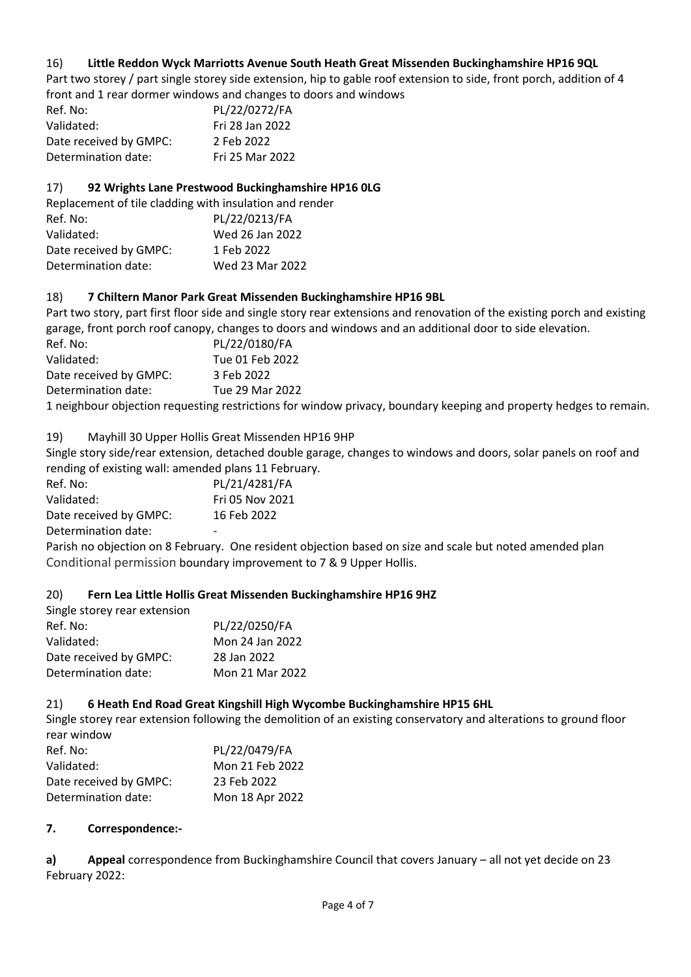## 16) **Little Reddon Wyck Marriotts Avenue South Heath Great Missenden Buckinghamshire HP16 9QL**

Part two storey / part single storey side extension, hip to gable roof extension to side, front porch, addition of 4 front and 1 rear dormer windows and changes to doors and windows

| Ref. No:               | PL/22/0272/FA   |
|------------------------|-----------------|
| Validated:             | Fri 28 Jan 2022 |
| Date received by GMPC: | 2 Feb 2022      |
| Determination date:    | Fri 25 Mar 2022 |

### 17) **92 Wrights Lane Prestwood Buckinghamshire HP16 0LG**

Replacement of tile cladding with insulation and render Ref. No: PL/22/0213/FA Validated: Wed 26 Jan 2022 Date received by GMPC: 1 Feb 2022 Determination date: Wed 23 Mar 2022

### 18) **7 Chiltern Manor Park Great Missenden Buckinghamshire HP16 9BL**

Part two story, part first floor side and single story rear extensions and renovation of the existing porch and existing garage, front porch roof canopy, changes to doors and windows and an additional door to side elevation.

| Ref. No:               | PL/22/0180/FA                                                                                        |
|------------------------|------------------------------------------------------------------------------------------------------|
| Validated:             | Tue 01 Feb 2022                                                                                      |
| Date received by GMPC: | 3 Feb 2022                                                                                           |
| Determination date:    | Tue 29 Mar 2022                                                                                      |
|                        | 1 noighbour objection requesting restrictions for window privacy, boundary keeping and property bodg |

1 neighbour objection requesting restrictions for window privacy, boundary keeping and property hedges to remain.

19) Mayhill 30 Upper Hollis Great Missenden HP16 9HP

Single story side/rear extension, detached double garage, changes to windows and doors, solar panels on roof and rending of existing wall: amended plans 11 February.

| Ref. No:               | PL/21/4281/FA          |
|------------------------|------------------------|
| Validated:             | <b>Fri 05 Nov 2021</b> |
| Date received by GMPC: | 16 Feb 2022            |
| Determination date:    |                        |
|                        |                        |

Parish no objection on 8 February. One resident objection based on size and scale but noted amended plan Conditional permission boundary improvement to 7 & 9 Upper Hollis.

## 20) **Fern Lea Little Hollis Great Missenden Buckinghamshire HP16 9HZ**

| PL/22/0250/FA   |
|-----------------|
| Mon 24 Jan 2022 |
| 28 Jan 2022     |
| Mon 21 Mar 2022 |
|                 |

### 21) **6 Heath End Road Great Kingshill High Wycombe Buckinghamshire HP15 6HL**

Single storey rear extension following the demolition of an existing conservatory and alterations to ground floor rear window

| PL/22/0479/FA   |
|-----------------|
| Mon 21 Feb 2022 |
| 23 Feb 2022     |
| Mon 18 Apr 2022 |
|                 |

### **7. Correspondence:-**

**a) Appeal** correspondence from Buckinghamshire Council that covers January – all not yet decide on 23 February 2022: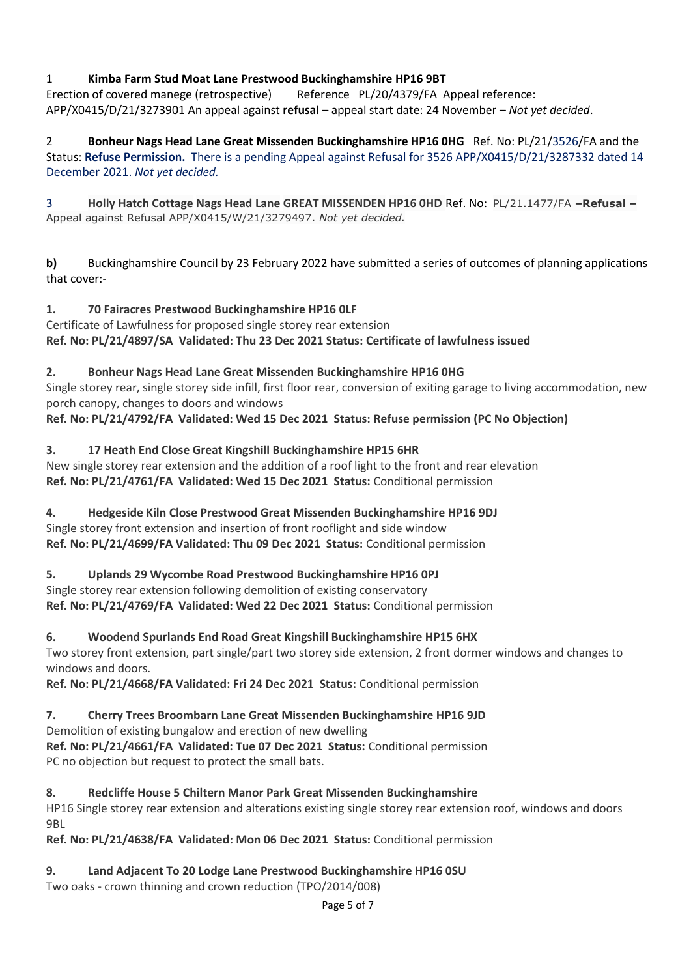# 1 **Kimba Farm Stud Moat Lane Prestwood Buckinghamshire HP16 9BT**

Erection of covered manege (retrospective) Reference PL/20/4379/FA Appeal reference: APP/X0415/D/21/3273901 An appeal against **refusal** – appeal start date: 24 November – *Not yet decided*.

2 **Bonheur Nags Head Lane Great Missenden Buckinghamshire HP16 0HG** Ref. No: PL/21/3526/FA and the Status: **Refuse Permission.** There is a pending Appeal against Refusal for 3526 APP/X0415/D/21/3287332 dated 14 December 2021. *Not yet decided.*

3 **Holly Hatch Cottage Nags Head Lane GREAT MISSENDEN HP16 0HD** Ref. No: PL/21.1477/FA **–Refusal –** Appeal against Refusal APP/X0415/W/21/3279497. *Not yet decided.*

**b)** Buckinghamshire Council by 23 February 2022 have submitted a series of outcomes of planning applications that cover:-

# **1. 70 Fairacres Prestwood Buckinghamshire HP16 0LF**

Certificate of Lawfulness for proposed single storey rear extension **Ref. No: PL/21/4897/SA Validated: Thu 23 Dec 2021 Status: Certificate of lawfulness issued**

# **2. Bonheur Nags Head Lane Great Missenden Buckinghamshire HP16 0HG**

Single storey rear, single storey side infill, first floor rear, conversion of exiting garage to living accommodation, new porch canopy, changes to doors and windows

**Ref. No: PL/21/4792/FA Validated: Wed 15 Dec 2021 Status: Refuse permission (PC No Objection)**

# **3. 17 Heath End Close Great Kingshill Buckinghamshire HP15 6HR**

New single storey rear extension and the addition of a roof light to the front and rear elevation **Ref. No: PL/21/4761/FA Validated: Wed 15 Dec 2021 Status:** Conditional permission

# **4. Hedgeside Kiln Close Prestwood Great Missenden Buckinghamshire HP16 9DJ**

Single storey front extension and insertion of front rooflight and side window **Ref. No: PL/21/4699/FA Validated: Thu 09 Dec 2021 Status:** Conditional permission

# **5. Uplands 29 Wycombe Road Prestwood Buckinghamshire HP16 0PJ**

# Single storey rear extension following demolition of existing conservatory

**Ref. No: PL/21/4769/FA Validated: Wed 22 Dec 2021 Status:** Conditional permission

## **6. Woodend Spurlands End Road Great Kingshill Buckinghamshire HP15 6HX**

Two storey front extension, part single/part two storey side extension, 2 front dormer windows and changes to windows and doors.

**Ref. No: PL/21/4668/FA Validated: Fri 24 Dec 2021 Status:** Conditional permission

# **7. Cherry Trees Broombarn Lane Great Missenden Buckinghamshire HP16 9JD**

Demolition of existing bungalow and erection of new dwelling

**Ref. No: PL/21/4661/FA Validated: Tue 07 Dec 2021 Status:** Conditional permission PC no objection but request to protect the small bats.

# **8. Redcliffe House 5 Chiltern Manor Park Great Missenden Buckinghamshire**

HP16 Single storey rear extension and alterations existing single storey rear extension roof, windows and doors 9BL

**Ref. No: PL/21/4638/FA Validated: Mon 06 Dec 2021 Status:** Conditional permission

# **9. Land Adjacent To 20 Lodge Lane Prestwood Buckinghamshire HP16 0SU**

Two oaks - crown thinning and crown reduction (TPO/2014/008)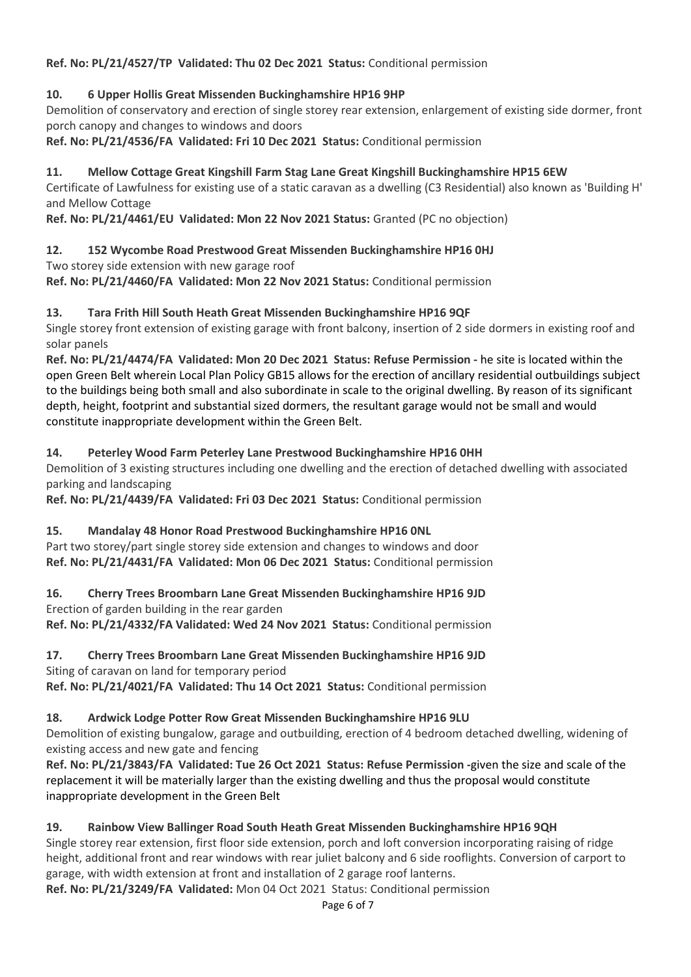**Ref. No: PL/21/4527/TP Validated: Thu 02 Dec 2021 Status:** Conditional permission

# **10. 6 Upper Hollis Great Missenden Buckinghamshire HP16 9HP**

Demolition of conservatory and erection of single storey rear extension, enlargement of existing side dormer, front porch canopy and changes to windows and doors

**Ref. No: PL/21/4536/FA Validated: Fri 10 Dec 2021 Status:** Conditional permission

# **11. Mellow Cottage Great Kingshill Farm Stag Lane Great Kingshill Buckinghamshire HP15 6EW**

Certificate of Lawfulness for existing use of a static caravan as a dwelling (C3 Residential) also known as 'Building H' and Mellow Cottage

**Ref. No: PL/21/4461/EU Validated: Mon 22 Nov 2021 Status:** Granted (PC no objection)

# **12. 152 Wycombe Road Prestwood Great Missenden Buckinghamshire HP16 0HJ**

Two storey side extension with new garage roof

**Ref. No: PL/21/4460/FA Validated: Mon 22 Nov 2021 Status:** Conditional permission

# **13. Tara Frith Hill South Heath Great Missenden Buckinghamshire HP16 9QF**

Single storey front extension of existing garage with front balcony, insertion of 2 side dormers in existing roof and solar panels

**Ref. No: PL/21/4474/FA Validated: Mon 20 Dec 2021 Status: Refuse Permission -** he site is located within the open Green Belt wherein Local Plan Policy GB15 allows for the erection of ancillary residential outbuildings subject to the buildings being both small and also subordinate in scale to the original dwelling. By reason of its significant depth, height, footprint and substantial sized dormers, the resultant garage would not be small and would constitute inappropriate development within the Green Belt.

## **14. Peterley Wood Farm Peterley Lane Prestwood Buckinghamshire HP16 0HH**

Demolition of 3 existing structures including one dwelling and the erection of detached dwelling with associated parking and landscaping

**Ref. No: PL/21/4439/FA Validated: Fri 03 Dec 2021 Status:** Conditional permission

# **15. Mandalay 48 Honor Road Prestwood Buckinghamshire HP16 0NL**

Part two storey/part single storey side extension and changes to windows and door **Ref. No: PL/21/4431/FA Validated: Mon 06 Dec 2021 Status:** Conditional permission

**16. Cherry Trees Broombarn Lane Great Missenden Buckinghamshire HP16 9JD** Erection of garden building in the rear garden **Ref. No: PL/21/4332/FA Validated: Wed 24 Nov 2021 Status:** Conditional permission

**17. Cherry Trees Broombarn Lane Great Missenden Buckinghamshire HP16 9JD** Siting of caravan on land for temporary period

**Ref. No: PL/21/4021/FA Validated: Thu 14 Oct 2021 Status:** Conditional permission

# **18. Ardwick Lodge Potter Row Great Missenden Buckinghamshire HP16 9LU**

Demolition of existing bungalow, garage and outbuilding, erection of 4 bedroom detached dwelling, widening of existing access and new gate and fencing

**Ref. No: PL/21/3843/FA Validated: Tue 26 Oct 2021 Status: Refuse Permission -**given the size and scale of the replacement it will be materially larger than the existing dwelling and thus the proposal would constitute inappropriate development in the Green Belt

# **19. Rainbow View Ballinger Road South Heath Great Missenden Buckinghamshire HP16 9QH**

Single storey rear extension, first floor side extension, porch and loft conversion incorporating raising of ridge height, additional front and rear windows with rear juliet balcony and 6 side rooflights. Conversion of carport to garage, with width extension at front and installation of 2 garage roof lanterns.

**Ref. No: PL/21/3249/FA Validated:** Mon 04 Oct 2021 Status: Conditional permission